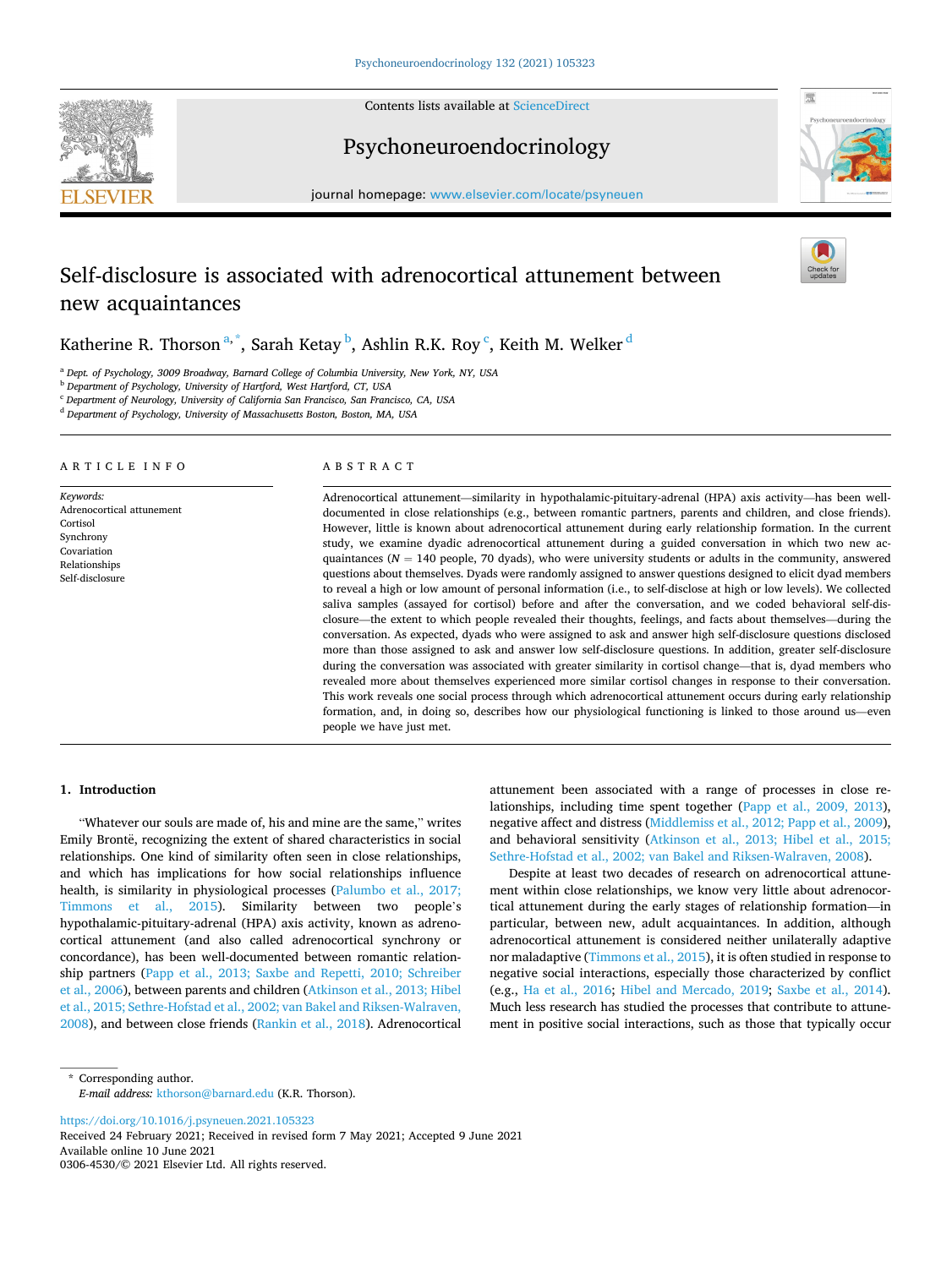**SEVIER** 



# Psychoneuroendocrinology



journal homepage: [www.elsevier.com/locate/psyneuen](https://www.elsevier.com/locate/psyneuen) 

# Self-disclosure is associated with adrenocortical attunement between new acquaintances

Katherine R. Thorson $^{\mathrm{a},\mathrm{*}}$ , Sarah Ketay $^{\mathrm{b}}$ , Ashlin R.K. Roy $^{\mathrm{c}}$ , Keith M. Welker $^{\mathrm{d}}$ 

<sup>a</sup> *Dept. of Psychology, 3009 Broadway, Barnard College of Columbia University, New York, NY, USA* 

<sup>b</sup> *Department of Psychology, University of Hartford, West Hartford, CT, USA* 

<sup>c</sup> *Department of Neurology, University of California San Francisco, San Francisco, CA, USA* 

<sup>d</sup> *Department of Psychology, University of Massachusetts Boston, Boston, MA, USA* 

## ARTICLE INFO

*Keywords:*  Adrenocortical attunement Cortisol Synchrony Covariation Relationships Self-disclosure

#### ABSTRACT

Adrenocortical attunement—similarity in hypothalamic-pituitary-adrenal (HPA) axis activity—has been welldocumented in close relationships (e.g., between romantic partners, parents and children, and close friends). However, little is known about adrenocortical attunement during early relationship formation. In the current study, we examine dyadic adrenocortical attunement during a guided conversation in which two new acquaintances ( $N = 140$  people, 70 dyads), who were university students or adults in the community, answered questions about themselves. Dyads were randomly assigned to answer questions designed to elicit dyad members to reveal a high or low amount of personal information (i.e., to self-disclose at high or low levels). We collected saliva samples (assayed for cortisol) before and after the conversation, and we coded behavioral self-disclosure—the extent to which people revealed their thoughts, feelings, and facts about themselves—during the conversation. As expected, dyads who were assigned to ask and answer high self-disclosure questions disclosed more than those assigned to ask and answer low self-disclosure questions. In addition, greater self-disclosure during the conversation was associated with greater similarity in cortisol change—that is, dyad members who revealed more about themselves experienced more similar cortisol changes in response to their conversation. This work reveals one social process through which adrenocortical attunement occurs during early relationship formation, and, in doing so, describes how our physiological functioning is linked to those around us—even people we have just met.

# **1. Introduction**

"Whatever our souls are made of, his and mine are the same," writes Emily Brontë, recognizing the extent of shared characteristics in social relationships. One kind of similarity often seen in close relationships, and which has implications for how social relationships influence health, is similarity in physiological processes [\(Palumbo et al., 2017;](#page-6-0)  [Timmons et al., 2015](#page-6-0)). Similarity between two people's hypothalamic-pituitary-adrenal (HPA) axis activity, known as adrenocortical attunement (and also called adrenocortical synchrony or concordance), has been well-documented between romantic relationship partners [\(Papp et al., 2013; Saxbe and Repetti, 2010; Schreiber](#page-6-0)  [et al., 2006](#page-6-0)), between parents and children ([Atkinson et al., 2013; Hibel](#page-6-0)  [et al., 2015; Sethre-Hofstad et al., 2002; van Bakel and Riksen-Walraven,](#page-6-0)  [2008\)](#page-6-0), and between close friends ([Rankin et al., 2018\)](#page-7-0). Adrenocortical attunement been associated with a range of processes in close relationships, including time spent together ([Papp et al., 2009, 2013](#page-6-0)), negative affect and distress ([Middlemiss et al., 2012; Papp et al., 2009](#page-6-0)), and behavioral sensitivity ([Atkinson et al., 2013; Hibel et al., 2015;](#page-6-0)  [Sethre-Hofstad et al., 2002; van Bakel and Riksen-Walraven, 2008\)](#page-6-0).

Despite at least two decades of research on adrenocortical attunement within close relationships, we know very little about adrenocortical attunement during the early stages of relationship formation—in particular, between new, adult acquaintances. In addition, although adrenocortical attunement is considered neither unilaterally adaptive nor maladaptive [\(Timmons et al., 2015\)](#page-7-0), it is often studied in response to negative social interactions, especially those characterized by conflict (e.g., [Ha et al., 2016;](#page-6-0) [Hibel and Mercado, 2019](#page-6-0); [Saxbe et al., 2014](#page-7-0)). Much less research has studied the processes that contribute to attunement in positive social interactions, such as those that typically occur

\* Corresponding author. *E-mail address:* [kthorson@barnard.edu](mailto:kthorson@barnard.edu) (K.R. Thorson).

<https://doi.org/10.1016/j.psyneuen.2021.105323>

Available online 10 June 2021 0306-4530/© 2021 Elsevier Ltd. All rights reserved. Received 24 February 2021; Received in revised form 7 May 2021; Accepted 9 June 2021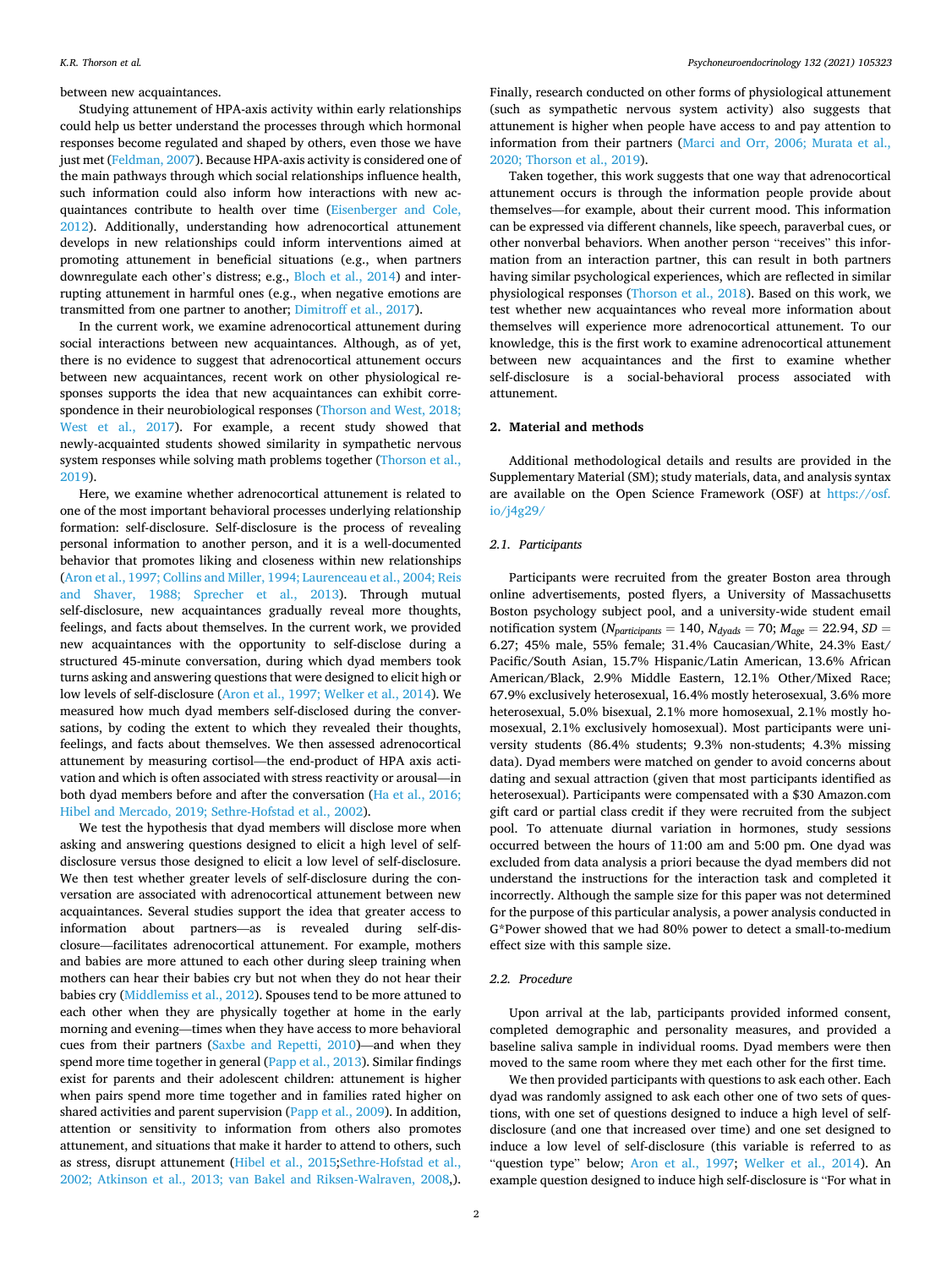between new acquaintances.

Studying attunement of HPA-axis activity within early relationships could help us better understand the processes through which hormonal responses become regulated and shaped by others, even those we have just met ([Feldman, 2007](#page-6-0)). Because HPA-axis activity is considered one of the main pathways through which social relationships influence health, such information could also inform how interactions with new acquaintances contribute to health over time [\(Eisenberger and Cole,](#page-6-0)  [2012\)](#page-6-0). Additionally, understanding how adrenocortical attunement develops in new relationships could inform interventions aimed at promoting attunement in beneficial situations (e.g., when partners downregulate each other's distress; e.g., [Bloch et al., 2014\)](#page-6-0) and interrupting attunement in harmful ones (e.g., when negative emotions are transmitted from one partner to another; [Dimitroff et al., 2017\)](#page-6-0).

In the current work, we examine adrenocortical attunement during social interactions between new acquaintances. Although, as of yet, there is no evidence to suggest that adrenocortical attunement occurs between new acquaintances, recent work on other physiological responses supports the idea that new acquaintances can exhibit correspondence in their neurobiological responses ([Thorson and West, 2018;](#page-7-0)  [West et al., 2017](#page-7-0)). For example, a recent study showed that newly-acquainted students showed similarity in sympathetic nervous system responses while solving math problems together [\(Thorson et al.,](#page-7-0)  [2019\)](#page-7-0).

Here, we examine whether adrenocortical attunement is related to one of the most important behavioral processes underlying relationship formation: self-disclosure. Self-disclosure is the process of revealing personal information to another person, and it is a well-documented behavior that promotes liking and closeness within new relationships ([Aron et al., 1997; Collins and Miller, 1994; Laurenceau et al., 2004; Reis](#page-6-0)  [and Shaver, 1988; Sprecher et al., 2013](#page-6-0)). Through mutual self-disclosure, new acquaintances gradually reveal more thoughts, feelings, and facts about themselves. In the current work, we provided new acquaintances with the opportunity to self-disclose during a structured 45-minute conversation, during which dyad members took turns asking and answering questions that were designed to elicit high or low levels of self-disclosure [\(Aron et al., 1997; Welker et al., 2014\)](#page-6-0). We measured how much dyad members self-disclosed during the conversations, by coding the extent to which they revealed their thoughts, feelings, and facts about themselves. We then assessed adrenocortical attunement by measuring cortisol—the end-product of HPA axis activation and which is often associated with stress reactivity or arousal—in both dyad members before and after the conversation ([Ha et al., 2016;](#page-6-0)  [Hibel and Mercado, 2019; Sethre-Hofstad et al., 2002](#page-6-0)).

We test the hypothesis that dyad members will disclose more when asking and answering questions designed to elicit a high level of selfdisclosure versus those designed to elicit a low level of self-disclosure. We then test whether greater levels of self-disclosure during the conversation are associated with adrenocortical attunement between new acquaintances. Several studies support the idea that greater access to information about partners—as is revealed during self-disclosure—facilitates adrenocortical attunement. For example, mothers and babies are more attuned to each other during sleep training when mothers can hear their babies cry but not when they do not hear their babies cry ([Middlemiss et al., 2012](#page-6-0)). Spouses tend to be more attuned to each other when they are physically together at home in the early morning and evening—times when they have access to more behavioral cues from their partners ([Saxbe and Repetti, 2010\)](#page-7-0)—and when they spend more time together in general [\(Papp et al., 2013](#page-6-0)). Similar findings exist for parents and their adolescent children: attunement is higher when pairs spend more time together and in families rated higher on shared activities and parent supervision ([Papp et al., 2009\)](#page-6-0). In addition, attention or sensitivity to information from others also promotes attunement, and situations that make it harder to attend to others, such as stress, disrupt attunement ([Hibel et al., 2015;](#page-6-0)[Sethre-Hofstad et al.,](#page-7-0)  [2002; Atkinson et al., 2013; van Bakel and Riksen-Walraven, 2008](#page-7-0),).

Finally, research conducted on other forms of physiological attunement (such as sympathetic nervous system activity) also suggests that attunement is higher when people have access to and pay attention to information from their partners [\(Marci and Orr, 2006; Murata et al.,](#page-6-0)  [2020; Thorson et al., 2019\)](#page-6-0).

Taken together, this work suggests that one way that adrenocortical attunement occurs is through the information people provide about themselves—for example, about their current mood. This information can be expressed via different channels, like speech, paraverbal cues, or other nonverbal behaviors. When another person "receives" this information from an interaction partner, this can result in both partners having similar psychological experiences, which are reflected in similar physiological responses [\(Thorson et al., 2018](#page-7-0)). Based on this work, we test whether new acquaintances who reveal more information about themselves will experience more adrenocortical attunement. To our knowledge, this is the first work to examine adrenocortical attunement between new acquaintances and the first to examine whether self-disclosure is a social-behavioral process associated with attunement.

## **2. Material and methods**

Additional methodological details and results are provided in the Supplementary Material (SM); study materials, data, and analysis syntax are available on the Open Science Framework (OSF) at [https://osf.](https://osf.io/j4g29/)  [io/j4g29/](https://osf.io/j4g29/)

#### *2.1. Participants*

Participants were recruited from the greater Boston area through online advertisements, posted flyers, a University of Massachusetts Boston psychology subject pool, and a university-wide student email notification system ( $N_{participants} = 140$ ,  $N_{dyads} = 70$ ;  $M_{age} = 22.94$ ,  $SD =$ 6.27; 45% male, 55% female; 31.4% Caucasian/White, 24.3% East/ Pacific/South Asian, 15.7% Hispanic/Latin American, 13.6% African American/Black, 2.9% Middle Eastern, 12.1% Other/Mixed Race; 67.9% exclusively heterosexual, 16.4% mostly heterosexual, 3.6% more heterosexual, 5.0% bisexual, 2.1% more homosexual, 2.1% mostly homosexual, 2.1% exclusively homosexual). Most participants were university students (86.4% students; 9.3% non-students; 4.3% missing data). Dyad members were matched on gender to avoid concerns about dating and sexual attraction (given that most participants identified as heterosexual). Participants were compensated with a \$30 Amazon.com gift card or partial class credit if they were recruited from the subject pool. To attenuate diurnal variation in hormones, study sessions occurred between the hours of 11:00 am and 5:00 pm. One dyad was excluded from data analysis a priori because the dyad members did not understand the instructions for the interaction task and completed it incorrectly. Although the sample size for this paper was not determined for the purpose of this particular analysis, a power analysis conducted in G\*Power showed that we had 80% power to detect a small-to-medium effect size with this sample size.

## *2.2. Procedure*

Upon arrival at the lab, participants provided informed consent, completed demographic and personality measures, and provided a baseline saliva sample in individual rooms. Dyad members were then moved to the same room where they met each other for the first time.

We then provided participants with questions to ask each other. Each dyad was randomly assigned to ask each other one of two sets of questions, with one set of questions designed to induce a high level of selfdisclosure (and one that increased over time) and one set designed to induce a low level of self-disclosure (this variable is referred to as "question type" below; [Aron et al., 1997;](#page-6-0) [Welker et al., 2014](#page-7-0)). An example question designed to induce high self-disclosure is "For what in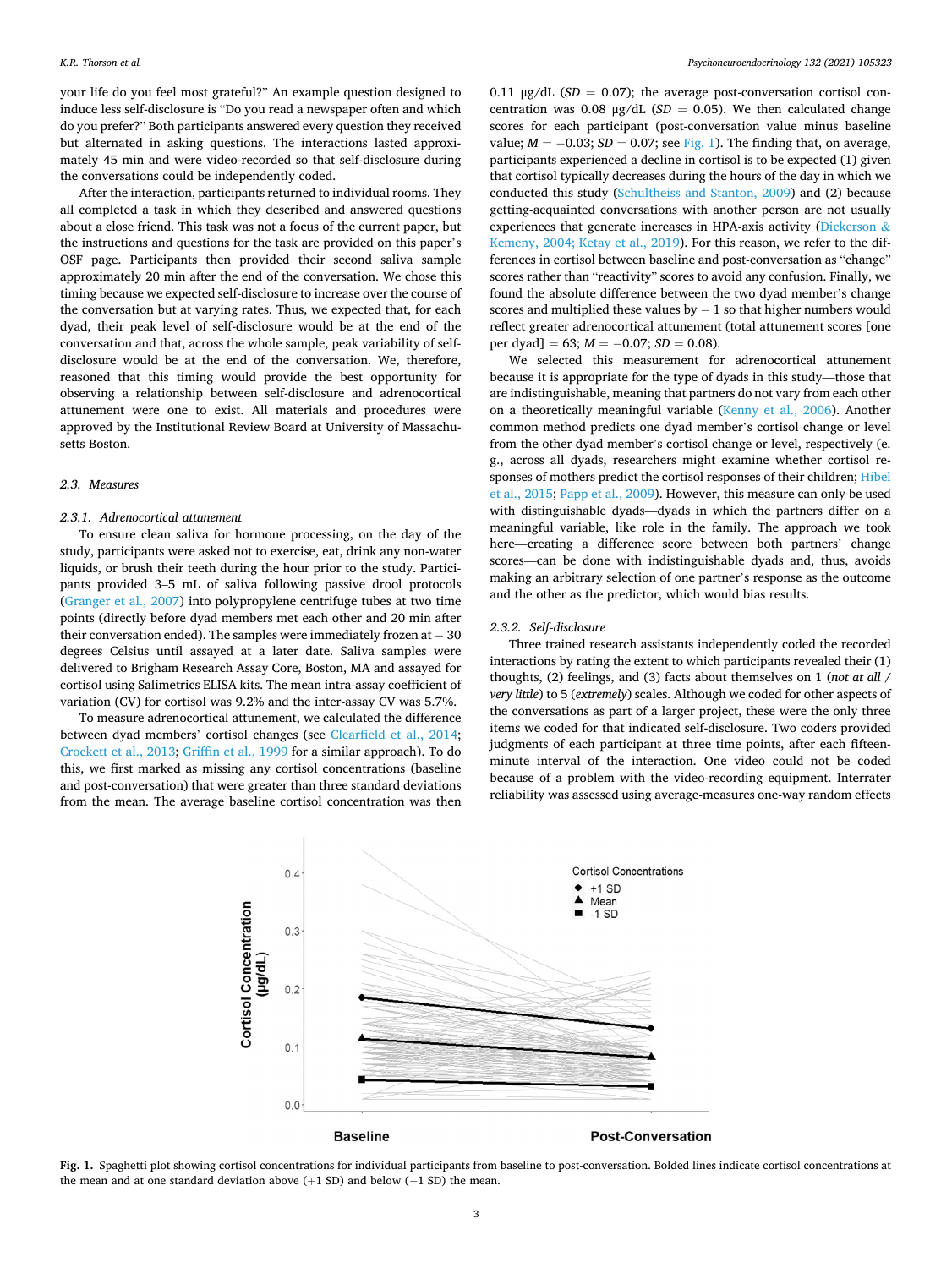<span id="page-2-0"></span>your life do you feel most grateful?" An example question designed to induce less self-disclosure is "Do you read a newspaper often and which do you prefer?" Both participants answered every question they received but alternated in asking questions. The interactions lasted approximately 45 min and were video-recorded so that self-disclosure during the conversations could be independently coded.

After the interaction, participants returned to individual rooms. They all completed a task in which they described and answered questions about a close friend. This task was not a focus of the current paper, but the instructions and questions for the task are provided on this paper's OSF page. Participants then provided their second saliva sample approximately 20 min after the end of the conversation. We chose this timing because we expected self-disclosure to increase over the course of the conversation but at varying rates. Thus, we expected that, for each dyad, their peak level of self-disclosure would be at the end of the conversation and that, across the whole sample, peak variability of selfdisclosure would be at the end of the conversation. We, therefore, reasoned that this timing would provide the best opportunity for observing a relationship between self-disclosure and adrenocortical attunement were one to exist. All materials and procedures were approved by the Institutional Review Board at University of Massachusetts Boston.

#### *2.3. Measures*

#### *2.3.1. Adrenocortical attunement*

To ensure clean saliva for hormone processing, on the day of the study, participants were asked not to exercise, eat, drink any non-water liquids, or brush their teeth during the hour prior to the study. Participants provided 3–5 mL of saliva following passive drool protocols ([Granger et al., 2007](#page-6-0)) into polypropylene centrifuge tubes at two time points (directly before dyad members met each other and 20 min after their conversation ended). The samples were immediately frozen at − 30 degrees Celsius until assayed at a later date. Saliva samples were delivered to Brigham Research Assay Core, Boston, MA and assayed for cortisol using Salimetrics ELISA kits. The mean intra-assay coefficient of variation (CV) for cortisol was 9.2% and the inter-assay CV was 5.7%.

To measure adrenocortical attunement, we calculated the difference between dyad members' cortisol changes (see [Clearfield et al., 2014](#page-6-0); [Crockett et al., 2013; Griffin et al., 1999](#page-6-0) for a similar approach). To do this, we first marked as missing any cortisol concentrations (baseline and post-conversation) that were greater than three standard deviations from the mean. The average baseline cortisol concentration was then

0.11  $\mu$ g/dL (*SD* = 0.07); the average post-conversation cortisol concentration was 0.08  $\mu$ g/dL (*SD* = 0.05). We then calculated change scores for each participant (post-conversation value minus baseline value;  $M = -0.03$ ;  $SD = 0.07$ ; see Fig. 1). The finding that, on average, participants experienced a decline in cortisol is to be expected (1) given that cortisol typically decreases during the hours of the day in which we conducted this study ([Schultheiss and Stanton, 2009\)](#page-7-0) and (2) because getting-acquainted conversations with another person are not usually experiences that generate increases in HPA-axis activity [\(Dickerson](#page-6-0) & [Kemeny, 2004; Ketay et al., 2019](#page-6-0)). For this reason, we refer to the differences in cortisol between baseline and post-conversation as "change" scores rather than "reactivity" scores to avoid any confusion. Finally, we found the absolute difference between the two dyad member's change scores and multiplied these values by  $-1$  so that higher numbers would reflect greater adrenocortical attunement (total attunement scores [one per dyad] = 63;  $M = -0.07$ ; *SD* = 0.08).

We selected this measurement for adrenocortical attunement because it is appropriate for the type of dyads in this study—those that are indistinguishable, meaning that partners do not vary from each other on a theoretically meaningful variable [\(Kenny et al., 2006](#page-6-0)). Another common method predicts one dyad member's cortisol change or level from the other dyad member's cortisol change or level, respectively (e. g., across all dyads, researchers might examine whether cortisol responses of mothers predict the cortisol responses of their children; [Hibel](#page-6-0)  [et al., 2015](#page-6-0); [Papp et al., 2009\)](#page-6-0). However, this measure can only be used with distinguishable dyads—dyads in which the partners differ on a meaningful variable, like role in the family. The approach we took here—creating a difference score between both partners' change scores—can be done with indistinguishable dyads and, thus, avoids making an arbitrary selection of one partner's response as the outcome and the other as the predictor, which would bias results.

## *2.3.2. Self-disclosure*

Three trained research assistants independently coded the recorded interactions by rating the extent to which participants revealed their (1) thoughts, (2) feelings, and (3) facts about themselves on 1 (*not at all* / *very little*) to 5 (*extremely*) scales. Although we coded for other aspects of the conversations as part of a larger project, these were the only three items we coded for that indicated self-disclosure. Two coders provided judgments of each participant at three time points, after each fifteenminute interval of the interaction. One video could not be coded because of a problem with the video-recording equipment. Interrater reliability was assessed using average-measures one-way random effects



**Fig. 1.** Spaghetti plot showing cortisol concentrations for individual participants from baseline to post-conversation. Bolded lines indicate cortisol concentrations at the mean and at one standard deviation above  $(+1 S_D)$  and below  $(-1 S_D)$  the mean.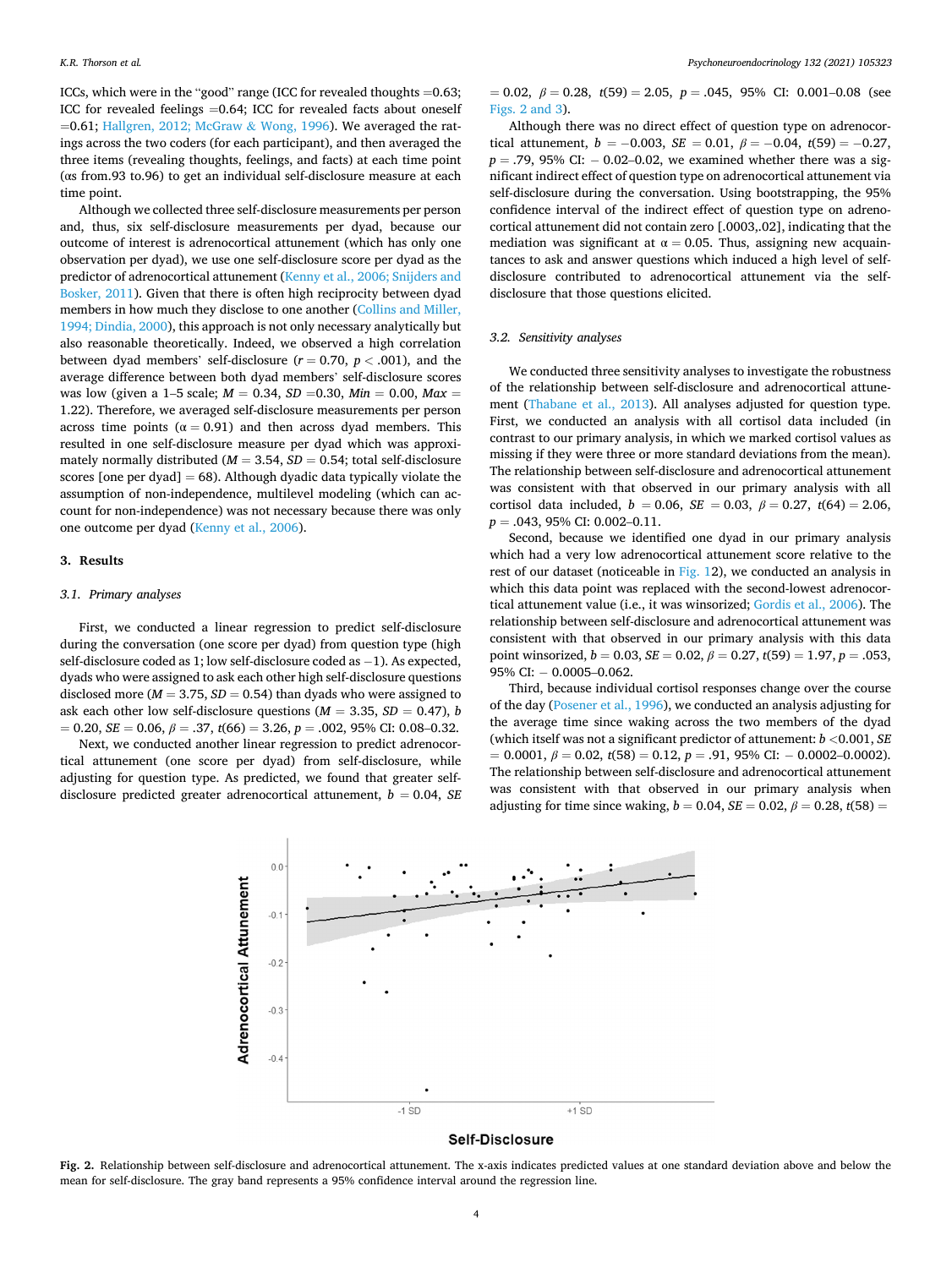ICCs, which were in the "good" range (ICC for revealed thoughts =0.63; ICC for revealed feelings =0.64; ICC for revealed facts about oneself  $=0.61$ ; [Hallgren, 2012; McGraw](#page-6-0) & Wong, 1996). We averaged the ratings across the two coders (for each participant), and then averaged the three items (revealing thoughts, feelings, and facts) at each time point (αs from.93 to.96) to get an individual self-disclosure measure at each time point.

Although we collected three self-disclosure measurements per person and, thus, six self-disclosure measurements per dyad, because our outcome of interest is adrenocortical attunement (which has only one observation per dyad), we use one self-disclosure score per dyad as the predictor of adrenocortical attunement [\(Kenny et al., 2006; Snijders and](#page-6-0)  [Bosker, 2011\)](#page-6-0). Given that there is often high reciprocity between dyad members in how much they disclose to one another ([Collins and Miller,](#page-6-0)  [1994; Dindia, 2000\)](#page-6-0), this approach is not only necessary analytically but also reasonable theoretically. Indeed, we observed a high correlation between dyad members' self-disclosure  $(r = 0.70, p < .001)$ , and the average difference between both dyad members' self-disclosure scores was low (given a 1–5 scale;  $M = 0.34$ ,  $SD = 0.30$ ,  $Min = 0.00$ ,  $Max =$ 1.22). Therefore, we averaged self-disclosure measurements per person across time points ( $\alpha = 0.91$ ) and then across dyad members. This resulted in one self-disclosure measure per dyad which was approximately normally distributed ( $M = 3.54$ ,  $SD = 0.54$ ; total self-disclosure scores [one per dyad]  $= 68$ ). Although dyadic data typically violate the assumption of non-independence, multilevel modeling (which can account for non-independence) was not necessary because there was only one outcome per dyad ([Kenny et al., 2006\)](#page-6-0).

#### **3. Results**

#### *3.1. Primary analyses*

First, we conducted a linear regression to predict self-disclosure during the conversation (one score per dyad) from question type (high self-disclosure coded as 1; low self-disclosure coded as −1). As expected, dyads who were assigned to ask each other high self-disclosure questions disclosed more ( $M = 3.75$ ,  $SD = 0.54$ ) than dyads who were assigned to ask each other low self-disclosure questions ( $M = 3.35$ ,  $SD = 0.47$ ), *b*  $= 0.20, SE = 0.06, \beta = .37, t(66) = 3.26, p = .002, 95\% \text{ CI: } 0.08 - 0.32.$ 

Next, we conducted another linear regression to predict adrenocortical attunement (one score per dyad) from self-disclosure, while adjusting for question type. As predicted, we found that greater selfdisclosure predicted greater adrenocortical attunement,  $b = 0.04$ , *SE*   $= 0.02, \ \beta = 0.28, \ t(59) = 2.05, \ \ p = .045, \ 95\% \ \ \text{CI:} \ \ 0.001 - 0.08 \ \ \text{(see)}$ Figs. 2 and 3).

Although there was no direct effect of question type on adrenocortical attunement,  $b = -0.003$ ,  $SE = 0.01$ ,  $\beta = -0.04$ ,  $t(59) = -0.27$ , *p* = .79, 95% CI: − 0.02–0.02, we examined whether there was a significant indirect effect of question type on adrenocortical attunement via self-disclosure during the conversation. Using bootstrapping, the 95% confidence interval of the indirect effect of question type on adrenocortical attunement did not contain zero [.0003,.02], indicating that the mediation was significant at  $\alpha = 0.05$ . Thus, assigning new acquaintances to ask and answer questions which induced a high level of selfdisclosure contributed to adrenocortical attunement via the selfdisclosure that those questions elicited.

#### *3.2. Sensitivity analyses*

We conducted three sensitivity analyses to investigate the robustness of the relationship between self-disclosure and adrenocortical attunement ([Thabane et al., 2013](#page-7-0)). All analyses adjusted for question type. First, we conducted an analysis with all cortisol data included (in contrast to our primary analysis, in which we marked cortisol values as missing if they were three or more standard deviations from the mean). The relationship between self-disclosure and adrenocortical attunement was consistent with that observed in our primary analysis with all cortisol data included,  $b = 0.06$ ,  $SE = 0.03$ ,  $\beta = 0.27$ ,  $t(64) = 2.06$ , *p* = .043, 95% CI: 0.002–0.11.

Second, because we identified one dyad in our primary analysis which had a very low adrenocortical attunement score relative to the rest of our dataset (noticeable in [Fig. 1](#page-2-0)2), we conducted an analysis in which this data point was replaced with the second-lowest adrenocortical attunement value (i.e., it was winsorized; [Gordis et al., 2006\)](#page-6-0). The relationship between self-disclosure and adrenocortical attunement was consistent with that observed in our primary analysis with this data point winsorized,  $b = 0.03$ ,  $SE = 0.02$ ,  $\beta = 0.27$ ,  $t(59) = 1.97$ ,  $p = .053$ , 95% CI: − 0.0005–0.062.

Third, because individual cortisol responses change over the course of the day [\(Posener et al., 1996](#page-6-0)), we conducted an analysis adjusting for the average time since waking across the two members of the dyad (which itself was not a significant predictor of attunement: *b <*0.001, *SE*   $= 0.0001, \beta = 0.02, t(58) = 0.12, p = .91, 95\% \text{ CI:} - 0.0002 - 0.0002.$ The relationship between self-disclosure and adrenocortical attunement was consistent with that observed in our primary analysis when adjusting for time since waking,  $b = 0.04$ ,  $SE = 0.02$ ,  $\beta = 0.28$ ,  $t(58) =$ 



#### **Self-Disclosure**

**Fig. 2.** Relationship between self-disclosure and adrenocortical attunement. The x-axis indicates predicted values at one standard deviation above and below the mean for self-disclosure. The gray band represents a 95% confidence interval around the regression line.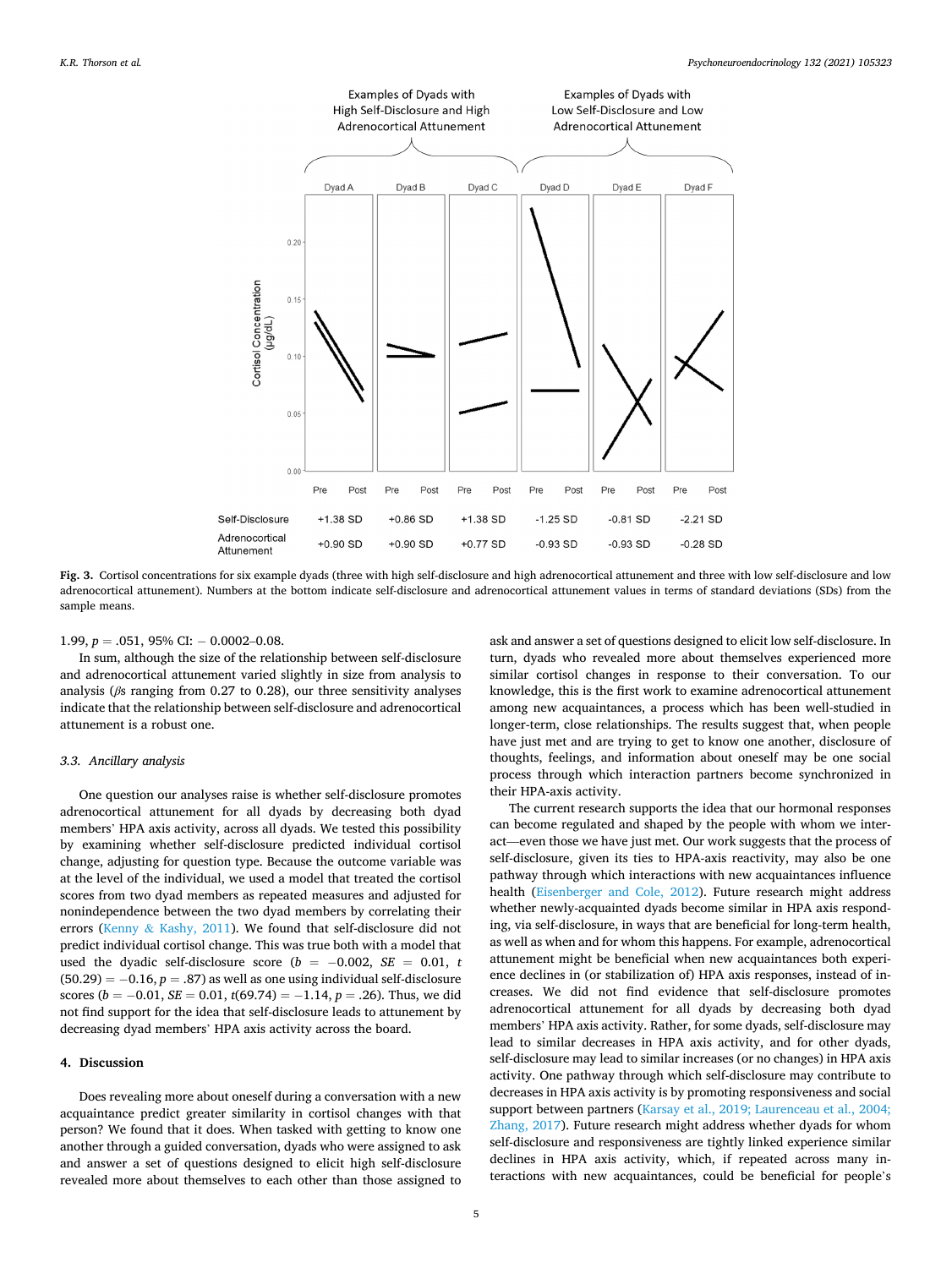

**Fig. 3.** Cortisol concentrations for six example dyads (three with high self-disclosure and high adrenocortical attunement and three with low self-disclosure and low adrenocortical attunement). Numbers at the bottom indicate self-disclosure and adrenocortical attunement values in terms of standard deviations (SDs) from the sample means.

1.99,  $p = .051$ , 95% CI:  $- 0.0002 - 0.08$ .

In sum, although the size of the relationship between self-disclosure and adrenocortical attunement varied slightly in size from analysis to analysis (*β*s ranging from 0.27 to 0.28), our three sensitivity analyses indicate that the relationship between self-disclosure and adrenocortical attunement is a robust one.

### *3.3. Ancillary analysis*

One question our analyses raise is whether self-disclosure promotes adrenocortical attunement for all dyads by decreasing both dyad members' HPA axis activity, across all dyads. We tested this possibility by examining whether self-disclosure predicted individual cortisol change, adjusting for question type. Because the outcome variable was at the level of the individual, we used a model that treated the cortisol scores from two dyad members as repeated measures and adjusted for nonindependence between the two dyad members by correlating their errors (Kenny & [Kashy, 2011\)](#page-6-0). We found that self-disclosure did not predict individual cortisol change. This was true both with a model that used the dyadic self-disclosure score ( $b = -0.002$ ,  $SE = 0.01$ , *t*  $(50.29) = -0.16$ ,  $p = .87$ ) as well as one using individual self-disclosure scores ( $b = -0.01$ ,  $SE = 0.01$ ,  $t(69.74) = -1.14$ ,  $p = .26$ ). Thus, we did not find support for the idea that self-disclosure leads to attunement by decreasing dyad members' HPA axis activity across the board.

#### **4. Discussion**

Does revealing more about oneself during a conversation with a new acquaintance predict greater similarity in cortisol changes with that person? We found that it does. When tasked with getting to know one another through a guided conversation, dyads who were assigned to ask and answer a set of questions designed to elicit high self-disclosure revealed more about themselves to each other than those assigned to

ask and answer a set of questions designed to elicit low self-disclosure. In turn, dyads who revealed more about themselves experienced more similar cortisol changes in response to their conversation. To our knowledge, this is the first work to examine adrenocortical attunement among new acquaintances, a process which has been well-studied in longer-term, close relationships. The results suggest that, when people have just met and are trying to get to know one another, disclosure of thoughts, feelings, and information about oneself may be one social process through which interaction partners become synchronized in their HPA-axis activity.

The current research supports the idea that our hormonal responses can become regulated and shaped by the people with whom we interact—even those we have just met. Our work suggests that the process of self-disclosure, given its ties to HPA-axis reactivity, may also be one pathway through which interactions with new acquaintances influence health ([Eisenberger and Cole, 2012](#page-6-0)). Future research might address whether newly-acquainted dyads become similar in HPA axis responding, via self-disclosure, in ways that are beneficial for long-term health, as well as when and for whom this happens. For example, adrenocortical attunement might be beneficial when new acquaintances both experience declines in (or stabilization of) HPA axis responses, instead of increases. We did not find evidence that self-disclosure promotes adrenocortical attunement for all dyads by decreasing both dyad members' HPA axis activity. Rather, for some dyads, self-disclosure may lead to similar decreases in HPA axis activity, and for other dyads, self-disclosure may lead to similar increases (or no changes) in HPA axis activity. One pathway through which self-disclosure may contribute to decreases in HPA axis activity is by promoting responsiveness and social support between partners ([Karsay et al., 2019; Laurenceau et al., 2004;](#page-6-0)  [Zhang, 2017](#page-6-0)). Future research might address whether dyads for whom self-disclosure and responsiveness are tightly linked experience similar declines in HPA axis activity, which, if repeated across many interactions with new acquaintances, could be beneficial for people's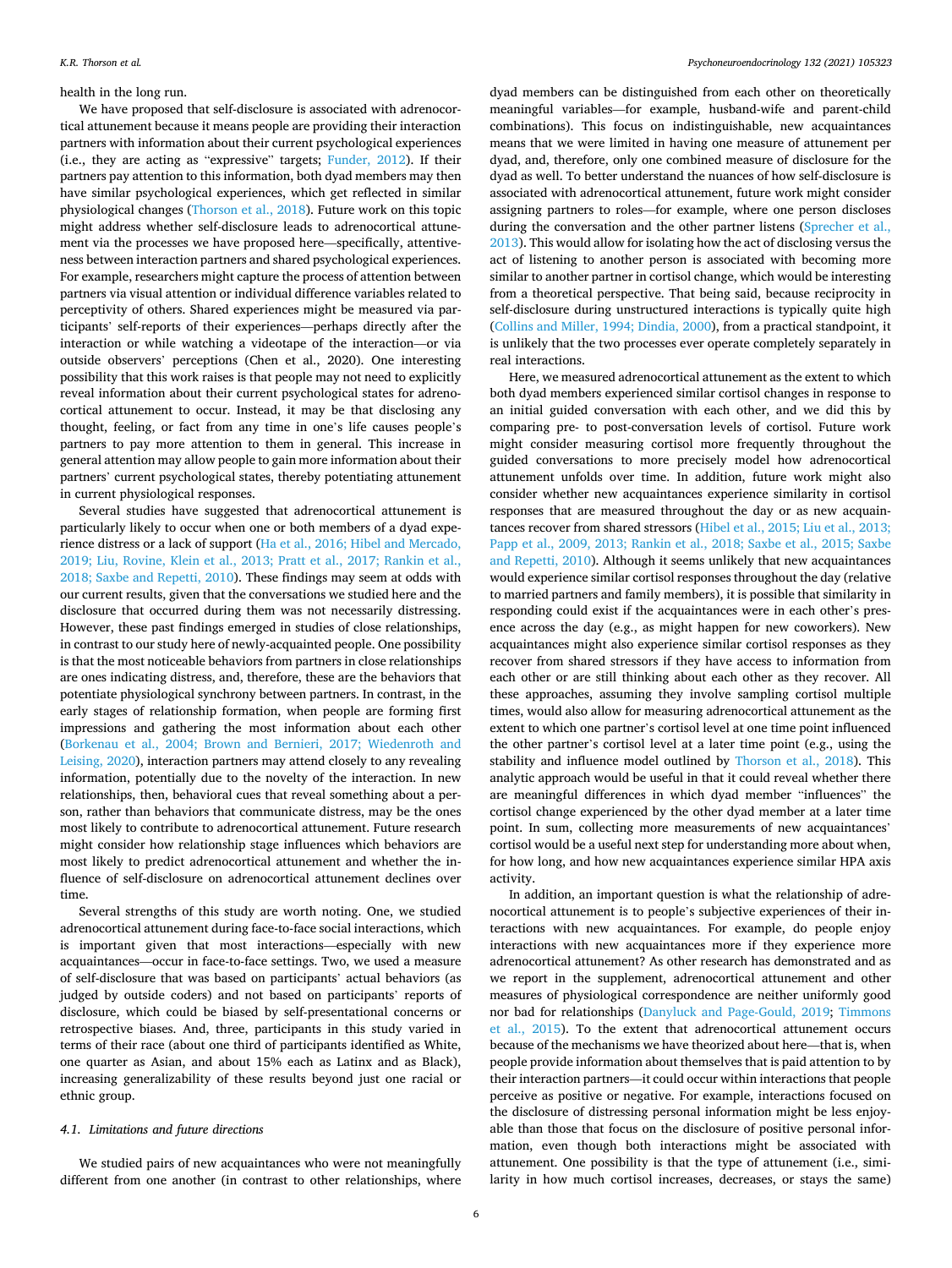## health in the long run.

We have proposed that self-disclosure is associated with adrenocortical attunement because it means people are providing their interaction partners with information about their current psychological experiences (i.e., they are acting as "expressive" targets; [Funder, 2012\)](#page-6-0). If their partners pay attention to this information, both dyad members may then have similar psychological experiences, which get reflected in similar physiological changes [\(Thorson et al., 2018](#page-7-0)). Future work on this topic might address whether self-disclosure leads to adrenocortical attunement via the processes we have proposed here—specifically, attentiveness between interaction partners and shared psychological experiences. For example, researchers might capture the process of attention between partners via visual attention or individual difference variables related to perceptivity of others. Shared experiences might be measured via participants' self-reports of their experiences—perhaps directly after the interaction or while watching a videotape of the interaction—or via outside observers' perceptions (Chen et al., 2020). One interesting possibility that this work raises is that people may not need to explicitly reveal information about their current psychological states for adrenocortical attunement to occur. Instead, it may be that disclosing any thought, feeling, or fact from any time in one's life causes people's partners to pay more attention to them in general. This increase in general attention may allow people to gain more information about their partners' current psychological states, thereby potentiating attunement in current physiological responses.

Several studies have suggested that adrenocortical attunement is particularly likely to occur when one or both members of a dyad experience distress or a lack of support [\(Ha et al., 2016; Hibel and Mercado,](#page-6-0)  [2019; Liu, Rovine, Klein et al., 2013; Pratt et al., 2017; Rankin et al.,](#page-6-0)  [2018; Saxbe and Repetti, 2010](#page-6-0)). These findings may seem at odds with our current results, given that the conversations we studied here and the disclosure that occurred during them was not necessarily distressing. However, these past findings emerged in studies of close relationships, in contrast to our study here of newly-acquainted people. One possibility is that the most noticeable behaviors from partners in close relationships are ones indicating distress, and, therefore, these are the behaviors that potentiate physiological synchrony between partners. In contrast, in the early stages of relationship formation, when people are forming first impressions and gathering the most information about each other ([Borkenau et al., 2004; Brown and Bernieri, 2017; Wiedenroth and](#page-6-0)  [Leising, 2020\)](#page-6-0), interaction partners may attend closely to any revealing information, potentially due to the novelty of the interaction. In new relationships, then, behavioral cues that reveal something about a person, rather than behaviors that communicate distress, may be the ones most likely to contribute to adrenocortical attunement. Future research might consider how relationship stage influences which behaviors are most likely to predict adrenocortical attunement and whether the influence of self-disclosure on adrenocortical attunement declines over time.

Several strengths of this study are worth noting. One, we studied adrenocortical attunement during face-to-face social interactions, which is important given that most interactions—especially with new acquaintances—occur in face-to-face settings. Two, we used a measure of self-disclosure that was based on participants' actual behaviors (as judged by outside coders) and not based on participants' reports of disclosure, which could be biased by self-presentational concerns or retrospective biases. And, three, participants in this study varied in terms of their race (about one third of participants identified as White, one quarter as Asian, and about 15% each as Latinx and as Black), increasing generalizability of these results beyond just one racial or ethnic group.

# *4.1. Limitations and future directions*

We studied pairs of new acquaintances who were not meaningfully different from one another (in contrast to other relationships, where

dyad members can be distinguished from each other on theoretically meaningful variables—for example, husband-wife and parent-child combinations). This focus on indistinguishable, new acquaintances means that we were limited in having one measure of attunement per dyad, and, therefore, only one combined measure of disclosure for the dyad as well. To better understand the nuances of how self-disclosure is associated with adrenocortical attunement, future work might consider assigning partners to roles—for example, where one person discloses during the conversation and the other partner listens (Sprecher et al., [2013\)](#page-7-0). This would allow for isolating how the act of disclosing versus the act of listening to another person is associated with becoming more similar to another partner in cortisol change, which would be interesting from a theoretical perspective. That being said, because reciprocity in self-disclosure during unstructured interactions is typically quite high ([Collins and Miller, 1994; Dindia, 2000](#page-6-0)), from a practical standpoint, it is unlikely that the two processes ever operate completely separately in real interactions.

Here, we measured adrenocortical attunement as the extent to which both dyad members experienced similar cortisol changes in response to an initial guided conversation with each other, and we did this by comparing pre- to post-conversation levels of cortisol. Future work might consider measuring cortisol more frequently throughout the guided conversations to more precisely model how adrenocortical attunement unfolds over time. In addition, future work might also consider whether new acquaintances experience similarity in cortisol responses that are measured throughout the day or as new acquaintances recover from shared stressors [\(Hibel et al., 2015; Liu et al., 2013;](#page-6-0)  [Papp et al., 2009, 2013; Rankin et al., 2018; Saxbe et al., 2015; Saxbe](#page-6-0)  [and Repetti, 2010\)](#page-6-0). Although it seems unlikely that new acquaintances would experience similar cortisol responses throughout the day (relative to married partners and family members), it is possible that similarity in responding could exist if the acquaintances were in each other's presence across the day (e.g., as might happen for new coworkers). New acquaintances might also experience similar cortisol responses as they recover from shared stressors if they have access to information from each other or are still thinking about each other as they recover. All these approaches, assuming they involve sampling cortisol multiple times, would also allow for measuring adrenocortical attunement as the extent to which one partner's cortisol level at one time point influenced the other partner's cortisol level at a later time point (e.g., using the stability and influence model outlined by [Thorson et al., 2018](#page-7-0)). This analytic approach would be useful in that it could reveal whether there are meaningful differences in which dyad member "influences" the cortisol change experienced by the other dyad member at a later time point. In sum, collecting more measurements of new acquaintances' cortisol would be a useful next step for understanding more about when, for how long, and how new acquaintances experience similar HPA axis activity.

In addition, an important question is what the relationship of adrenocortical attunement is to people's subjective experiences of their interactions with new acquaintances. For example, do people enjoy interactions with new acquaintances more if they experience more adrenocortical attunement? As other research has demonstrated and as we report in the supplement, adrenocortical attunement and other measures of physiological correspondence are neither uniformly good nor bad for relationships ([Danyluck and Page-Gould, 2019](#page-6-0); [Timmons](#page-7-0)  [et al., 2015](#page-7-0)). To the extent that adrenocortical attunement occurs because of the mechanisms we have theorized about here—that is, when people provide information about themselves that is paid attention to by their interaction partners—it could occur within interactions that people perceive as positive or negative. For example, interactions focused on the disclosure of distressing personal information might be less enjoyable than those that focus on the disclosure of positive personal information, even though both interactions might be associated with attunement. One possibility is that the type of attunement (i.e., similarity in how much cortisol increases, decreases, or stays the same)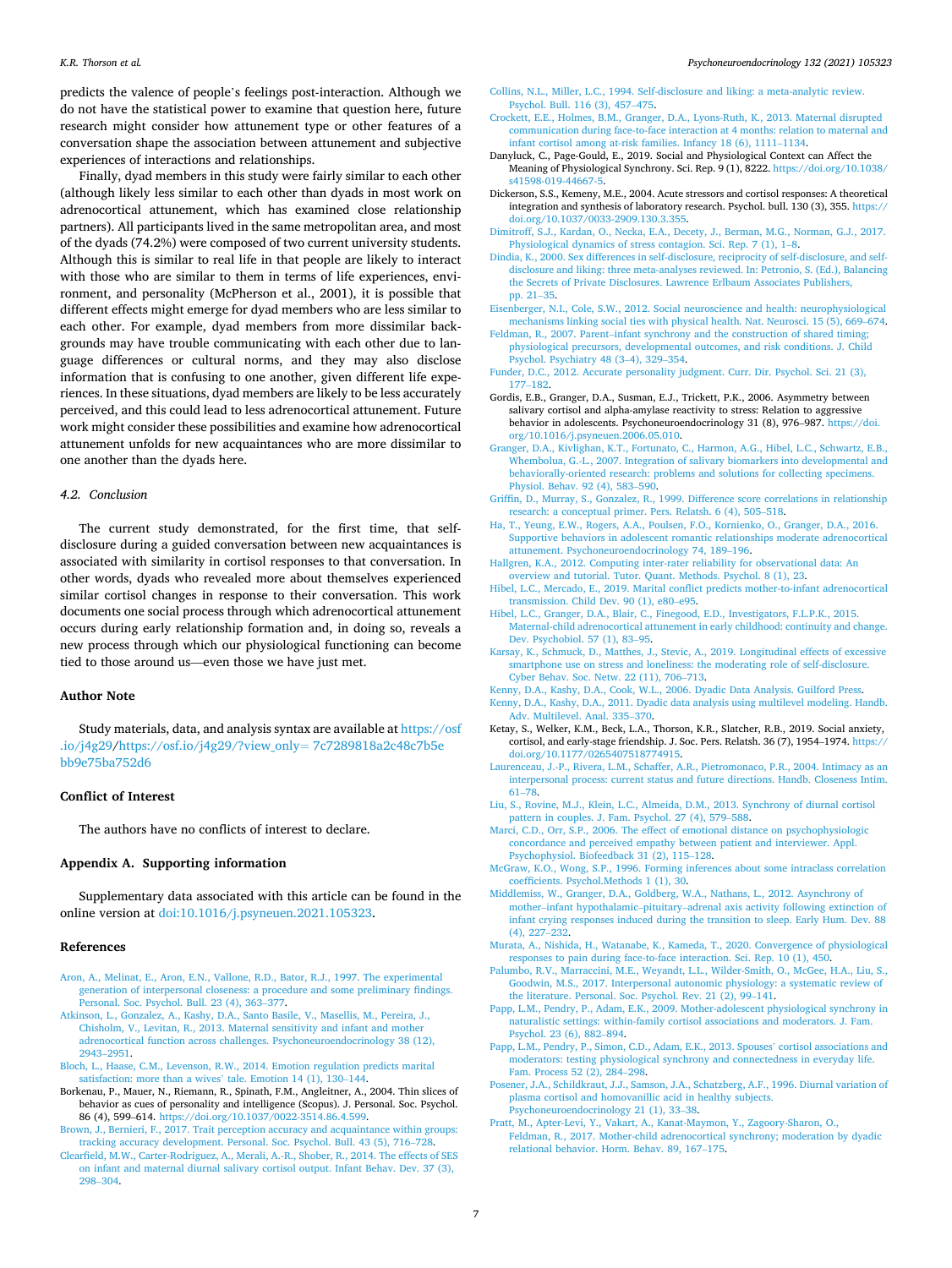#### <span id="page-6-0"></span>*K.R. Thorson et al.*

predicts the valence of people's feelings post-interaction. Although we do not have the statistical power to examine that question here, future research might consider how attunement type or other features of a conversation shape the association between attunement and subjective experiences of interactions and relationships.

Finally, dyad members in this study were fairly similar to each other (although likely less similar to each other than dyads in most work on adrenocortical attunement, which has examined close relationship partners). All participants lived in the same metropolitan area, and most of the dyads (74.2%) were composed of two current university students. Although this is similar to real life in that people are likely to interact with those who are similar to them in terms of life experiences, environment, and personality (McPherson et al., 2001), it is possible that different effects might emerge for dyad members who are less similar to each other. For example, dyad members from more dissimilar backgrounds may have trouble communicating with each other due to language differences or cultural norms, and they may also disclose information that is confusing to one another, given different life experiences. In these situations, dyad members are likely to be less accurately perceived, and this could lead to less adrenocortical attunement. Future work might consider these possibilities and examine how adrenocortical attunement unfolds for new acquaintances who are more dissimilar to one another than the dyads here.

## *4.2. Conclusion*

The current study demonstrated, for the first time, that selfdisclosure during a guided conversation between new acquaintances is associated with similarity in cortisol responses to that conversation. In other words, dyads who revealed more about themselves experienced similar cortisol changes in response to their conversation. This work documents one social process through which adrenocortical attunement occurs during early relationship formation and, in doing so, reveals a new process through which our physiological functioning can become tied to those around us—even those we have just met.

#### **Author Note**

Study materials, data, and analysis syntax are available at [https://osf](https://osf.io/j4g29)  [.io/j4g29](https://osf.io/j4g29)[/https://osf.io/j4g29/?view\\_only](https://osf.io/j4g29/?view_only=7c7289818a2c48c7b5ebb9e75ba752d6)= 7c7289818a2c48c7b5e [bb9e75ba752d6](https://osf.io/j4g29/?view_only=7c7289818a2c48c7b5ebb9e75ba752d6) 

## **Conflict of Interest**

The authors have no conflicts of interest to declare.

# **Appendix A. Supporting information**

Supplementary data associated with this article can be found in the online version at [doi:10.1016/j.psyneuen.2021.105323.](https://doi.org/10.1016/j.psyneuen.2021.105323)

## **References**

- [Aron, A., Melinat, E., Aron, E.N., Vallone, R.D., Bator, R.J., 1997. The experimental](http://refhub.elsevier.com/S0306-4530(21)00197-9/sbref1) [generation of interpersonal closeness: a procedure and some preliminary findings.](http://refhub.elsevier.com/S0306-4530(21)00197-9/sbref1) [Personal. Soc. Psychol. Bull. 23 \(4\), 363](http://refhub.elsevier.com/S0306-4530(21)00197-9/sbref1)–377.
- [Atkinson, L., Gonzalez, A., Kashy, D.A., Santo Basile, V., Masellis, M., Pereira, J.,](http://refhub.elsevier.com/S0306-4530(21)00197-9/sbref2) [Chisholm, V., Levitan, R., 2013. Maternal sensitivity and infant and mother](http://refhub.elsevier.com/S0306-4530(21)00197-9/sbref2) [adrenocortical function across challenges. Psychoneuroendocrinology 38 \(12\),](http://refhub.elsevier.com/S0306-4530(21)00197-9/sbref2) [2943](http://refhub.elsevier.com/S0306-4530(21)00197-9/sbref2)–2951.
- [Bloch, L., Haase, C.M., Levenson, R.W., 2014. Emotion regulation predicts marital](http://refhub.elsevier.com/S0306-4530(21)00197-9/sbref3) [satisfaction: more than a wives](http://refhub.elsevier.com/S0306-4530(21)00197-9/sbref3)' tale. Emotion 14 (1), 130–144.
- Borkenau, P., Mauer, N., Riemann, R., Spinath, F.M., Angleitner, A., 2004. Thin slices of behavior as cues of personality and intelligence (Scopus). J. Personal. Soc. Psychol. 86 (4), 599–614. <https://doi.org/10.1037/0022-3514.86.4.599>.
- [Brown, J., Bernieri, F., 2017. Trait perception accuracy and acquaintance within groups:](http://refhub.elsevier.com/S0306-4530(21)00197-9/sbref5)  [tracking accuracy development. Personal. Soc. Psychol. Bull. 43 \(5\), 716](http://refhub.elsevier.com/S0306-4530(21)00197-9/sbref5)–728.
- [Clearfield, M.W., Carter-Rodriguez, A., Merali, A.-R., Shober, R., 2014. The effects of SES](http://refhub.elsevier.com/S0306-4530(21)00197-9/sbref6)  [on infant and maternal diurnal salivary cortisol output. Infant Behav. Dev. 37 \(3\),](http://refhub.elsevier.com/S0306-4530(21)00197-9/sbref6) 298–[304](http://refhub.elsevier.com/S0306-4530(21)00197-9/sbref6).
- [Collins, N.L., Miller, L.C., 1994. Self-disclosure and liking: a meta-analytic review.](http://refhub.elsevier.com/S0306-4530(21)00197-9/sbref7) [Psychol. Bull. 116 \(3\), 457](http://refhub.elsevier.com/S0306-4530(21)00197-9/sbref7)–475.
- [Crockett, E.E., Holmes, B.M., Granger, D.A., Lyons-Ruth, K., 2013. Maternal disrupted](http://refhub.elsevier.com/S0306-4530(21)00197-9/sbref8) [communication during face-to-face interaction at 4 months: relation to maternal and](http://refhub.elsevier.com/S0306-4530(21)00197-9/sbref8)  [infant cortisol among at-risk families. Infancy 18 \(6\), 1111](http://refhub.elsevier.com/S0306-4530(21)00197-9/sbref8)–1134.
- Danyluck, C., Page-Gould, E., 2019. Social and Physiological Context can Affect the Meaning of Physiological Synchrony. Sci. Rep. 9 (1), 8222. [https://doi.org/10.1038/](https://doi.org/10.1038/s41598-019-44667-5)  [s41598-019-44667-5](https://doi.org/10.1038/s41598-019-44667-5)
- Dickerson, S.S., Kemeny, M.E., 2004. Acute stressors and cortisol responses: A theoretical integration and synthesis of laboratory research. Psychol. bull. 130 (3), 355. [https://](https://doi.org/10.1037/0033-2909.130.3.355)  [doi.org/10.1037/0033-2909.130.3.355](https://doi.org/10.1037/0033-2909.130.3.355).
- [Dimitroff, S.J., Kardan, O., Necka, E.A., Decety, J., Berman, M.G., Norman, G.J., 2017.](http://refhub.elsevier.com/S0306-4530(21)00197-9/sbref11)  [Physiological dynamics of stress contagion. Sci. Rep. 7 \(1\), 1](http://refhub.elsevier.com/S0306-4530(21)00197-9/sbref11)-8.
- [Dindia, K., 2000. Sex differences in self-disclosure, reciprocity of self-disclosure, and self](http://refhub.elsevier.com/S0306-4530(21)00197-9/sbref12)[disclosure and liking: three meta-analyses reviewed. In: Petronio, S. \(Ed.\), Balancing](http://refhub.elsevier.com/S0306-4530(21)00197-9/sbref12)  [the Secrets of Private Disclosures. Lawrence Erlbaum Associates Publishers,](http://refhub.elsevier.com/S0306-4530(21)00197-9/sbref12)  [pp. 21](http://refhub.elsevier.com/S0306-4530(21)00197-9/sbref12)–35.
- [Eisenberger, N.I., Cole, S.W., 2012. Social neuroscience and health: neurophysiological](http://refhub.elsevier.com/S0306-4530(21)00197-9/sbref13)  [mechanisms linking social ties with physical health. Nat. Neurosci. 15 \(5\), 669](http://refhub.elsevier.com/S0306-4530(21)00197-9/sbref13)–674.
- Feldman, R., 2007. Parent–infant synchrony and the construction of shared timing; [physiological precursors, developmental outcomes, and risk conditions. J. Child](http://refhub.elsevier.com/S0306-4530(21)00197-9/sbref14) [Psychol. Psychiatry 48 \(3](http://refhub.elsevier.com/S0306-4530(21)00197-9/sbref14)–4), 329–354.
- [Funder, D.C., 2012. Accurate personality judgment. Curr. Dir. Psychol. Sci. 21 \(3\),](http://refhub.elsevier.com/S0306-4530(21)00197-9/sbref15) 177–[182](http://refhub.elsevier.com/S0306-4530(21)00197-9/sbref15).
- Gordis, E.B., Granger, D.A., Susman, E.J., Trickett, P.K., 2006. Asymmetry between salivary cortisol and alpha-amylase reactivity to stress: Relation to aggressive behavior in adolescents. Psychoneuroendocrinology 31 (8), 976–987. [https://doi.](https://doi.org/10.1016/j.psyneuen.2006.05.010) [org/10.1016/j.psyneuen.2006.05.010](https://doi.org/10.1016/j.psyneuen.2006.05.010).
- [Granger, D.A., Kivlighan, K.T., Fortunato, C., Harmon, A.G., Hibel, L.C., Schwartz, E.B.,](http://refhub.elsevier.com/S0306-4530(21)00197-9/sbref17)  [Whembolua, G.-L., 2007. Integration of salivary biomarkers into developmental and](http://refhub.elsevier.com/S0306-4530(21)00197-9/sbref17)  [behaviorally-oriented research: problems and solutions for collecting specimens.](http://refhub.elsevier.com/S0306-4530(21)00197-9/sbref17) [Physiol. Behav. 92 \(4\), 583](http://refhub.elsevier.com/S0306-4530(21)00197-9/sbref17)–590.
- [Griffin, D., Murray, S., Gonzalez, R., 1999. Difference score correlations in relationship](http://refhub.elsevier.com/S0306-4530(21)00197-9/sbref18) [research: a conceptual primer. Pers. Relatsh. 6 \(4\), 505](http://refhub.elsevier.com/S0306-4530(21)00197-9/sbref18)–518.
- [Ha, T., Yeung, E.W., Rogers, A.A., Poulsen, F.O., Kornienko, O., Granger, D.A., 2016.](http://refhub.elsevier.com/S0306-4530(21)00197-9/sbref19)  [Supportive behaviors in adolescent romantic relationships moderate adrenocortical](http://refhub.elsevier.com/S0306-4530(21)00197-9/sbref19)  [attunement. Psychoneuroendocrinology 74, 189](http://refhub.elsevier.com/S0306-4530(21)00197-9/sbref19)–196.
- [Hallgren, K.A., 2012. Computing inter-rater reliability for observational data: An](http://refhub.elsevier.com/S0306-4530(21)00197-9/sbref20) [overview and tutorial. Tutor. Quant. Methods. Psychol. 8 \(1\), 23.](http://refhub.elsevier.com/S0306-4530(21)00197-9/sbref20)
- [Hibel, L.C., Mercado, E., 2019. Marital conflict predicts mother-to-infant adrenocortical](http://refhub.elsevier.com/S0306-4530(21)00197-9/sbref21)  [transmission. Child Dev. 90 \(1\), e80](http://refhub.elsevier.com/S0306-4530(21)00197-9/sbref21)–e95.
- [Hibel, L.C., Granger, D.A., Blair, C., Finegood, E.D., Investigators, F.L.P.K., 2015.](http://refhub.elsevier.com/S0306-4530(21)00197-9/sbref22)  [Maternal-child adrenocortical attunement in early childhood: continuity and change.](http://refhub.elsevier.com/S0306-4530(21)00197-9/sbref22)  [Dev. Psychobiol. 57 \(1\), 83](http://refhub.elsevier.com/S0306-4530(21)00197-9/sbref22)–95.
- [Karsay, K., Schmuck, D., Matthes, J., Stevic, A., 2019. Longitudinal effects of excessive](http://refhub.elsevier.com/S0306-4530(21)00197-9/sbref23)  [smartphone use on stress and loneliness: the moderating role of self-disclosure.](http://refhub.elsevier.com/S0306-4530(21)00197-9/sbref23) [Cyber Behav. Soc. Netw. 22 \(11\), 706](http://refhub.elsevier.com/S0306-4530(21)00197-9/sbref23)–713.
- [Kenny, D.A., Kashy, D.A., Cook, W.L., 2006. Dyadic Data Analysis. Guilford Press](http://refhub.elsevier.com/S0306-4530(21)00197-9/sbref24).
- [Kenny, D.A., Kashy, D.A., 2011. Dyadic data analysis using multilevel modeling. Handb.](http://refhub.elsevier.com/S0306-4530(21)00197-9/sbref25)  [Adv. Multilevel. Anal. 335](http://refhub.elsevier.com/S0306-4530(21)00197-9/sbref25)–370.
- Ketay, S., Welker, K.M., Beck, L.A., Thorson, K.R., Slatcher, R.B., 2019. Social anxiety, cortisol, and early-stage friendship. J. Soc. Pers. Relatsh. 36 (7), 1954–1974. [https://](https://doi.org/10.1177/0265407518774915)  [doi.org/10.1177/0265407518774915.](https://doi.org/10.1177/0265407518774915)
- [Laurenceau, J.-P., Rivera, L.M., Schaffer, A.R., Pietromonaco, P.R., 2004. Intimacy as an](http://refhub.elsevier.com/S0306-4530(21)00197-9/sbref27)  [interpersonal process: current status and future directions. Handb. Closeness Intim.](http://refhub.elsevier.com/S0306-4530(21)00197-9/sbref27)  61–[78](http://refhub.elsevier.com/S0306-4530(21)00197-9/sbref27).
- [Liu, S., Rovine, M.J., Klein, L.C., Almeida, D.M., 2013. Synchrony of diurnal cortisol](http://refhub.elsevier.com/S0306-4530(21)00197-9/sbref28)  [pattern in couples. J. Fam. Psychol. 27 \(4\), 579](http://refhub.elsevier.com/S0306-4530(21)00197-9/sbref28)–588.
- [Marci, C.D., Orr, S.P., 2006. The effect of emotional distance on psychophysiologic](http://refhub.elsevier.com/S0306-4530(21)00197-9/sbref29)  [concordance and perceived empathy between patient and interviewer. Appl.](http://refhub.elsevier.com/S0306-4530(21)00197-9/sbref29)  [Psychophysiol. Biofeedback 31 \(2\), 115](http://refhub.elsevier.com/S0306-4530(21)00197-9/sbref29)–128.
- [McGraw, K.O., Wong, S.P., 1996. Forming inferences about some intraclass correlation](http://refhub.elsevier.com/S0306-4530(21)00197-9/sbref30)  [coefficients. Psychol.Methods 1 \(1\), 30](http://refhub.elsevier.com/S0306-4530(21)00197-9/sbref30).
- [Middlemiss, W., Granger, D.A., Goldberg, W.A., Nathans, L., 2012. Asynchrony of](http://refhub.elsevier.com/S0306-4530(21)00197-9/sbref31) mother–infant hypothalamic–pituitary–[adrenal axis activity following extinction of](http://refhub.elsevier.com/S0306-4530(21)00197-9/sbref31)  [infant crying responses induced during the transition to sleep. Early Hum. Dev. 88](http://refhub.elsevier.com/S0306-4530(21)00197-9/sbref31)  [\(4\), 227](http://refhub.elsevier.com/S0306-4530(21)00197-9/sbref31)–232.
- [Murata, A., Nishida, H., Watanabe, K., Kameda, T., 2020. Convergence of physiological](http://refhub.elsevier.com/S0306-4530(21)00197-9/sbref32)  [responses to pain during face-to-face interaction. Sci. Rep. 10 \(1\), 450](http://refhub.elsevier.com/S0306-4530(21)00197-9/sbref32).
- [Palumbo, R.V., Marraccini, M.E., Weyandt, L.L., Wilder-Smith, O., McGee, H.A., Liu, S.,](http://refhub.elsevier.com/S0306-4530(21)00197-9/sbref33)  [Goodwin, M.S., 2017. Interpersonal autonomic physiology: a systematic review of](http://refhub.elsevier.com/S0306-4530(21)00197-9/sbref33) [the literature. Personal. Soc. Psychol. Rev. 21 \(2\), 99](http://refhub.elsevier.com/S0306-4530(21)00197-9/sbref33)–141.
- [Papp, L.M., Pendry, P., Adam, E.K., 2009. Mother-adolescent physiological synchrony in](http://refhub.elsevier.com/S0306-4530(21)00197-9/sbref34)  [naturalistic settings: within-family cortisol associations and moderators. J. Fam.](http://refhub.elsevier.com/S0306-4530(21)00197-9/sbref34)  [Psychol. 23 \(6\), 882](http://refhub.elsevier.com/S0306-4530(21)00197-9/sbref34)–894.
- [Papp, L.M., Pendry, P., Simon, C.D., Adam, E.K., 2013. Spouses](http://refhub.elsevier.com/S0306-4530(21)00197-9/sbref35)' cortisol associations and [moderators: testing physiological synchrony and connectedness in everyday life.](http://refhub.elsevier.com/S0306-4530(21)00197-9/sbref35)  [Fam. Process 52 \(2\), 284](http://refhub.elsevier.com/S0306-4530(21)00197-9/sbref35)–298.
- [Posener, J.A., Schildkraut, J.J., Samson, J.A., Schatzberg, A.F., 1996. Diurnal variation of](http://refhub.elsevier.com/S0306-4530(21)00197-9/sbref36)  [plasma cortisol and homovanillic acid in healthy subjects.](http://refhub.elsevier.com/S0306-4530(21)00197-9/sbref36) [Psychoneuroendocrinology 21 \(1\), 33](http://refhub.elsevier.com/S0306-4530(21)00197-9/sbref36)–38.
- [Pratt, M., Apter-Levi, Y., Vakart, A., Kanat-Maymon, Y., Zagoory-Sharon, O.,](http://refhub.elsevier.com/S0306-4530(21)00197-9/sbref37) [Feldman, R., 2017. Mother-child adrenocortical synchrony; moderation by dyadic](http://refhub.elsevier.com/S0306-4530(21)00197-9/sbref37)  [relational behavior. Horm. Behav. 89, 167](http://refhub.elsevier.com/S0306-4530(21)00197-9/sbref37)–175.